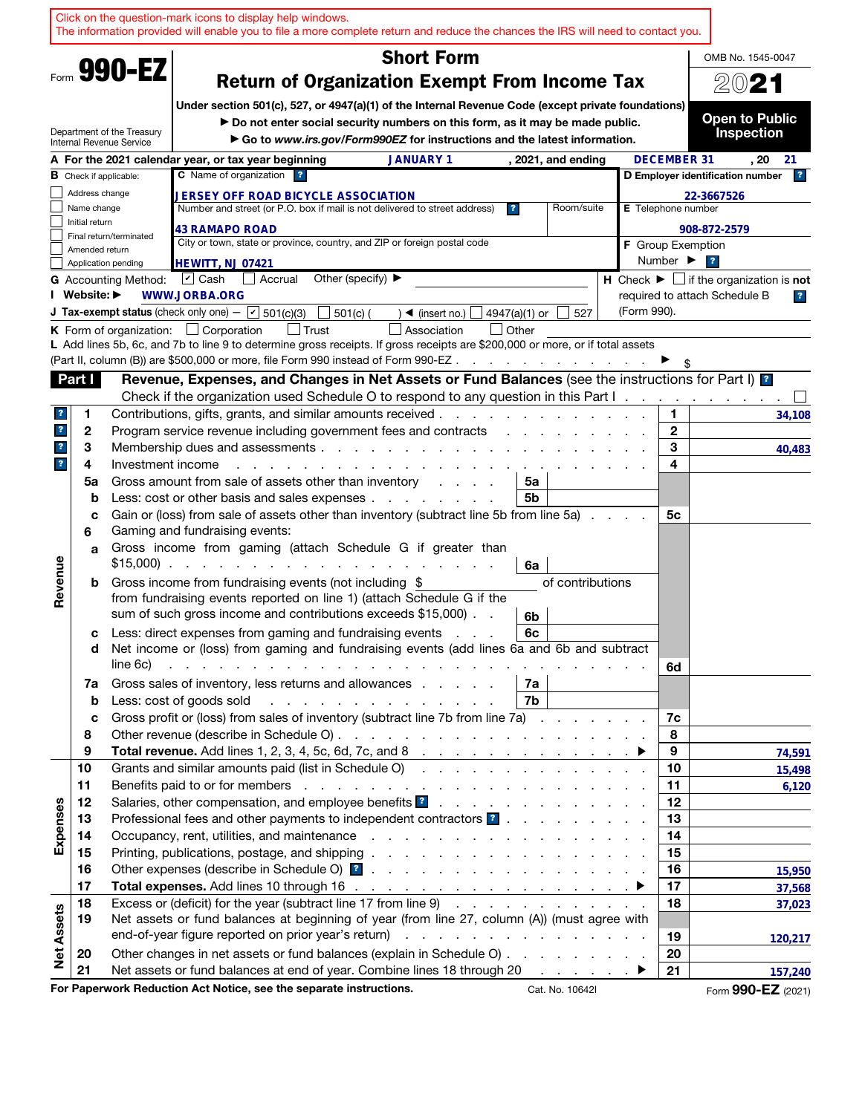|                                                                                                                                             |                               |                             | Click on the question-mark icons to display help windows.<br>The information provided will enable you to file a more complete return and reduce the chances the IRS will need to contact you.                                                                                                     |                   |                              |                                                                               |                         |
|---------------------------------------------------------------------------------------------------------------------------------------------|-------------------------------|-----------------------------|---------------------------------------------------------------------------------------------------------------------------------------------------------------------------------------------------------------------------------------------------------------------------------------------------|-------------------|------------------------------|-------------------------------------------------------------------------------|-------------------------|
|                                                                                                                                             |                               |                             | <b>Short Form</b>                                                                                                                                                                                                                                                                                 |                   |                              | OMB No. 1545-0047                                                             |                         |
|                                                                                                                                             |                               | Form 990-EZ                 | <b>Return of Organization Exempt From Income Tax</b>                                                                                                                                                                                                                                              |                   |                              | 2021                                                                          |                         |
|                                                                                                                                             |                               |                             | Under section 501(c), 527, or 4947(a)(1) of the Internal Revenue Code (except private foundations)                                                                                                                                                                                                |                   |                              |                                                                               |                         |
|                                                                                                                                             |                               | Department of the Treasury  | Do not enter social security numbers on this form, as it may be made public.                                                                                                                                                                                                                      |                   |                              | <b>Open to Public</b>                                                         |                         |
|                                                                                                                                             |                               | Internal Revenue Service    | Go to www.irs.gov/Form990EZ for instructions and the latest information.                                                                                                                                                                                                                          |                   |                              | <b>Inspection</b>                                                             |                         |
|                                                                                                                                             |                               |                             | A For the 2021 calendar year, or tax year beginning<br><b>JANUARY 1</b><br>, 2021, and ending                                                                                                                                                                                                     |                   | <b>DECEMBER 31</b>           | , 20                                                                          | 21                      |
| C Name of organization ?<br>D Employer identification number<br><b>B</b> Check if applicable:<br><b>JERSEY OFF ROAD BICYCLE ASSOCIATION</b> |                               |                             |                                                                                                                                                                                                                                                                                                   |                   |                              |                                                                               | 2                       |
|                                                                                                                                             | Address change<br>Name change | E Telephone number          | 22-3667526                                                                                                                                                                                                                                                                                        |                   |                              |                                                                               |                         |
|                                                                                                                                             | Initial return                |                             | Room/suite<br>Number and street (or P.O. box if mail is not delivered to street address)<br>$\mathbf{r}$<br><b>43 RAMAPO ROAD</b>                                                                                                                                                                 |                   |                              | 908-872-2579                                                                  |                         |
|                                                                                                                                             |                               | Final return/terminated     | City or town, state or province, country, and ZIP or foreign postal code                                                                                                                                                                                                                          | F Group Exemption |                              |                                                                               |                         |
|                                                                                                                                             | Amended return                | Application pending         | <b>HEWITT, NJ 07421</b>                                                                                                                                                                                                                                                                           |                   | Number $\blacktriangleright$ | $\overline{\mathbf{r}}$                                                       |                         |
|                                                                                                                                             |                               | <b>G</b> Accounting Method: | Other (specify) $\blacktriangleright$<br>$\vert \nu \vert$ Cash<br>Accrual                                                                                                                                                                                                                        |                   |                              | <b>H</b> Check $\blacktriangleright$ $\Box$ if the organization is <b>not</b> |                         |
|                                                                                                                                             | I Website: ▶                  |                             | <b>WWW.JORBA.ORG</b>                                                                                                                                                                                                                                                                              |                   |                              | required to attach Schedule B                                                 | $\overline{\mathbf{r}}$ |
|                                                                                                                                             |                               |                             | <b>J Tax-exempt status</b> (check only one) $ \boxed{\mathbf{v}}$ 501(c)(3)<br>$501(c)$ (<br>$\blacktriangleleft$ (insert no.) $\lfloor$<br>4947(a)(1) or<br>527                                                                                                                                  | (Form 990).       |                              |                                                                               |                         |
|                                                                                                                                             |                               |                             | <b>K</b> Form of organization: $\Box$ Corporation<br><b>Trust</b><br>Association<br>l Other                                                                                                                                                                                                       |                   |                              |                                                                               |                         |
|                                                                                                                                             |                               |                             | L Add lines 5b, 6c, and 7b to line 9 to determine gross receipts. If gross receipts are \$200,000 or more, or if total assets<br>(Part II, column (B)) are \$500,000 or more, file Form 990 instead of Form 990-EZ.<br>and the contract of the con-                                               |                   |                              |                                                                               |                         |
|                                                                                                                                             | Part I                        |                             | Revenue, Expenses, and Changes in Net Assets or Fund Balances (see the instructions for Part I) ?                                                                                                                                                                                                 |                   |                              |                                                                               |                         |
|                                                                                                                                             |                               |                             | Check if the organization used Schedule O to respond to any question in this Part I.                                                                                                                                                                                                              |                   |                              |                                                                               |                         |
| $\mathbf{?}$                                                                                                                                | 1                             |                             | Contributions, gifts, grants, and similar amounts received.<br>and the company of the company of the company of the company of the company of the company of the company of the                                                                                                                   |                   | 1                            |                                                                               | 34,108                  |
| $\overline{\mathbf{r}}$                                                                                                                     | 2                             |                             | Program service revenue including government fees and contracts<br>and the contract of the contract of the contract of the contract of the contract of the contract of the contract of the contract of the contract of the contract of the contract of the contract of the contract of the contra |                   | $\mathbf{2}$                 |                                                                               |                         |
| $\overline{\mathbf{r}}$                                                                                                                     | 3                             |                             | Membership dues and assessments.<br>and the company of the company of the company of                                                                                                                                                                                                              |                   | 3                            |                                                                               | 40,483                  |
| $\overline{\mathbf{r}}$                                                                                                                     | 4                             | Investment income           |                                                                                                                                                                                                                                                                                                   |                   | 4                            |                                                                               |                         |
|                                                                                                                                             | 5a                            |                             | Gross amount from sale of assets other than inventory<br>5a                                                                                                                                                                                                                                       |                   |                              |                                                                               |                         |
|                                                                                                                                             | b                             |                             | 5b<br>Less: cost or other basis and sales expenses<br>Gain or (loss) from sale of assets other than inventory (subtract line 5b from line 5a)                                                                                                                                                     |                   |                              |                                                                               |                         |
|                                                                                                                                             | c<br>6                        |                             | Gaming and fundraising events:                                                                                                                                                                                                                                                                    |                   | 5c                           |                                                                               |                         |
|                                                                                                                                             | a                             |                             | Gross income from gaming (attach Schedule G if greater than                                                                                                                                                                                                                                       |                   |                              |                                                                               |                         |
| Revenue                                                                                                                                     |                               | $$15,000$ .                 | the contract of the contract of the<br>the company of the<br>6a                                                                                                                                                                                                                                   |                   |                              |                                                                               |                         |
|                                                                                                                                             | b                             |                             | Gross income from fundraising events (not including \$<br>of contributions                                                                                                                                                                                                                        |                   |                              |                                                                               |                         |
|                                                                                                                                             |                               |                             | from fundraising events reported on line 1) (attach Schedule G if the                                                                                                                                                                                                                             |                   |                              |                                                                               |                         |
|                                                                                                                                             |                               |                             | sum of such gross income and contributions exceeds \$15,000).<br>6b                                                                                                                                                                                                                               |                   |                              |                                                                               |                         |
|                                                                                                                                             | c<br>d                        |                             | Less: direct expenses from gaming and fundraising events<br>6c<br><b>Contract</b><br>Net income or (loss) from gaming and fundraising events (add lines 6a and 6b and subtract                                                                                                                    |                   |                              |                                                                               |                         |
|                                                                                                                                             |                               | line 6c)                    | والمتعاون والمتعاون والمتعاون والمتعاون والمتعاونة والمتعاونة والمتعاونة والمتعاونة والمتعاونة والمتعاونة                                                                                                                                                                                         |                   | 6d                           |                                                                               |                         |
|                                                                                                                                             | 7a                            |                             | 7a<br>Gross sales of inventory, less returns and allowances                                                                                                                                                                                                                                       |                   |                              |                                                                               |                         |
|                                                                                                                                             | b                             |                             | Less: cost of goods sold<br>7b<br>the contract of the contract of the contract of the                                                                                                                                                                                                             |                   |                              |                                                                               |                         |
|                                                                                                                                             | c                             |                             | Gross profit or (loss) from sales of inventory (subtract line 7b from line 7a)                                                                                                                                                                                                                    |                   | 7c                           |                                                                               |                         |
|                                                                                                                                             | 8                             |                             |                                                                                                                                                                                                                                                                                                   |                   | 8                            |                                                                               |                         |
|                                                                                                                                             | 9                             |                             | Total revenue. Add lines 1, 2, 3, 4, 5c, 6d, 7c, and 8 $\ldots$ $\ldots$ $\ldots$                                                                                                                                                                                                                 |                   | 9                            |                                                                               | 74,591                  |
|                                                                                                                                             | 10<br>11                      |                             | Grants and similar amounts paid (list in Schedule O)                                                                                                                                                                                                                                              |                   | 10<br>11                     |                                                                               | 15,498<br>6,120         |
|                                                                                                                                             | 12                            |                             |                                                                                                                                                                                                                                                                                                   |                   | 12                           |                                                                               |                         |
|                                                                                                                                             | 13                            |                             | Professional fees and other payments to independent contractors <b>1</b>                                                                                                                                                                                                                          |                   | 13                           |                                                                               |                         |
| Expenses                                                                                                                                    | 14                            |                             |                                                                                                                                                                                                                                                                                                   |                   | 14                           |                                                                               |                         |
|                                                                                                                                             | 15                            |                             |                                                                                                                                                                                                                                                                                                   |                   | 15                           |                                                                               |                         |
|                                                                                                                                             | 16                            |                             |                                                                                                                                                                                                                                                                                                   |                   | 16                           |                                                                               | 15,950                  |
|                                                                                                                                             | 17                            |                             |                                                                                                                                                                                                                                                                                                   |                   | 17                           |                                                                               | 37,568                  |
|                                                                                                                                             | 18<br>19                      |                             | Excess or (deficit) for the year (subtract line 17 from line 9)<br>Net assets or fund balances at beginning of year (from line 27, column (A)) (must agree with                                                                                                                                   |                   | 18                           |                                                                               | 37,023                  |
| <b>Net Assets</b>                                                                                                                           |                               |                             |                                                                                                                                                                                                                                                                                                   |                   | 19                           |                                                                               | 120,217                 |
|                                                                                                                                             | 20                            |                             | Other changes in net assets or fund balances (explain in Schedule O)                                                                                                                                                                                                                              |                   | 20                           |                                                                               |                         |
|                                                                                                                                             | 21                            |                             | Net assets or fund balances at end of year. Combine lines 18 through 20 ▶                                                                                                                                                                                                                         |                   | 21                           |                                                                               | 157,240                 |
|                                                                                                                                             |                               |                             | For Paperwork Reduction Act Notice, see the separate instructions.<br>Cat. No. 10642I                                                                                                                                                                                                             |                   |                              | Form 990-EZ (2021)                                                            |                         |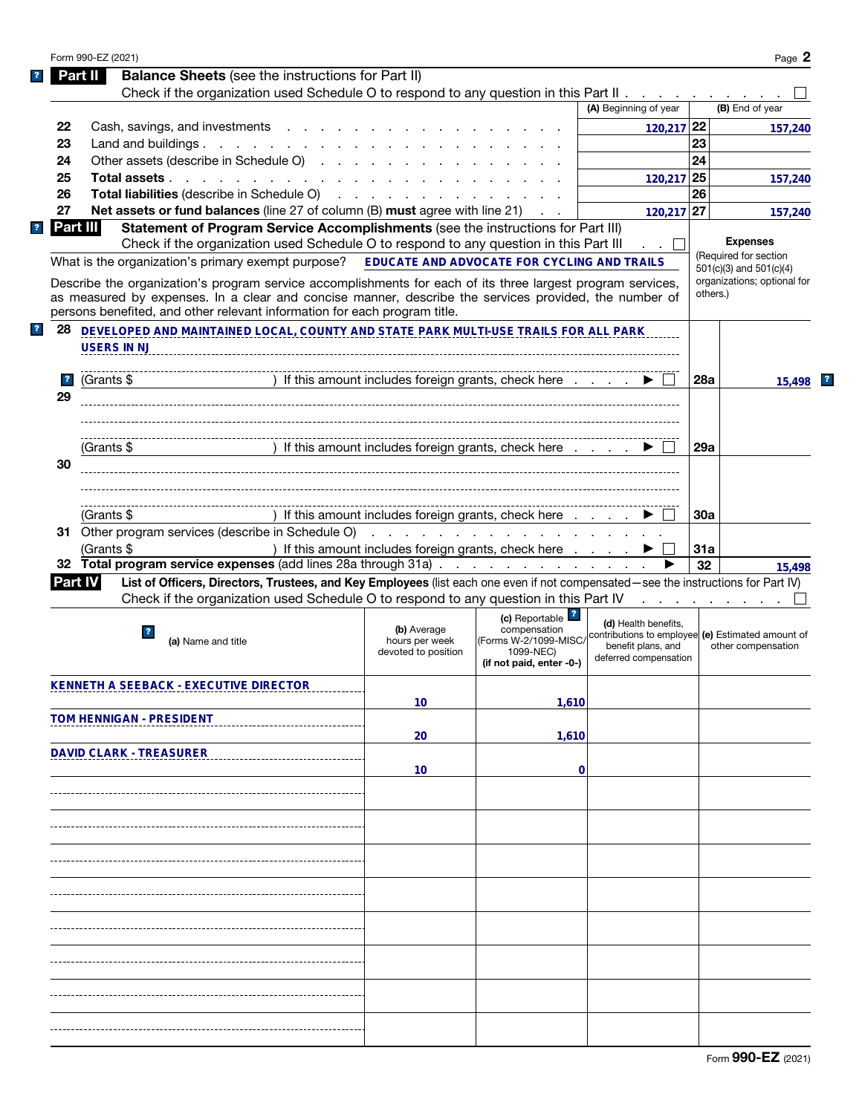|                         | Form 990-EZ (2021)             |                                                                                                                                                                                                                                                                                                   |                                                      |                                       |                                                    |          | Page 2                      |
|-------------------------|--------------------------------|---------------------------------------------------------------------------------------------------------------------------------------------------------------------------------------------------------------------------------------------------------------------------------------------------|------------------------------------------------------|---------------------------------------|----------------------------------------------------|----------|-----------------------------|
|                         | Part II                        | <b>Balance Sheets</b> (see the instructions for Part II)                                                                                                                                                                                                                                          |                                                      |                                       |                                                    |          |                             |
|                         |                                | Check if the organization used Schedule O to respond to any question in this Part II $\ldots$                                                                                                                                                                                                     |                                                      |                                       |                                                    |          |                             |
|                         |                                |                                                                                                                                                                                                                                                                                                   |                                                      |                                       | (A) Beginning of year                              |          | (B) End of year             |
| 22                      |                                | Cash, savings, and investments                                                                                                                                                                                                                                                                    |                                                      |                                       | 120,217 22                                         |          | 157,240                     |
| 23                      |                                | Land and buildings.                                                                                                                                                                                                                                                                               |                                                      |                                       |                                                    | 23       |                             |
| 24                      |                                | Other assets (describe in Schedule O)                                                                                                                                                                                                                                                             |                                                      |                                       |                                                    | 24       |                             |
| 25                      |                                | Total assets                                                                                                                                                                                                                                                                                      |                                                      |                                       | 120,217                                            | 25       | 157,240                     |
| 26                      |                                | Total liabilities (describe in Schedule O)                                                                                                                                                                                                                                                        |                                                      |                                       |                                                    | 26       |                             |
| 27                      |                                | <b>Net assets or fund balances</b> (line 27 of column (B) must agree with line 21)                                                                                                                                                                                                                |                                                      |                                       | 120,217 27                                         |          | 157,240                     |
|                         | Part III                       | Statement of Program Service Accomplishments (see the instructions for Part III)                                                                                                                                                                                                                  |                                                      |                                       |                                                    |          |                             |
|                         |                                | Check if the organization used Schedule O to respond to any question in this Part III                                                                                                                                                                                                             |                                                      |                                       |                                                    |          | <b>Expenses</b>             |
|                         |                                | What is the organization's primary exempt purpose? EDUCATE AND ADVOCATE FOR CYCLING AND TRAILS                                                                                                                                                                                                    |                                                      |                                       |                                                    |          | (Required for section       |
|                         |                                |                                                                                                                                                                                                                                                                                                   |                                                      |                                       |                                                    |          | $501(c)(3)$ and $501(c)(4)$ |
|                         |                                | Describe the organization's program service accomplishments for each of its three largest program services,<br>as measured by expenses. In a clear and concise manner, describe the services provided, the number of<br>persons benefited, and other relevant information for each program title. |                                                      |                                       |                                                    | others.) | organizations; optional for |
| 28                      |                                | DEVELOPED AND MAINTAINED LOCAL, COUNTY AND STATE PARK MULTI-USE TRAILS FOR ALL PARK                                                                                                                                                                                                               |                                                      |                                       |                                                    |          |                             |
|                         | <b>USERS IN NJ</b>             |                                                                                                                                                                                                                                                                                                   |                                                      |                                       |                                                    |          |                             |
| $\overline{\mathbf{r}}$ | (Grants \$                     |                                                                                                                                                                                                                                                                                                   | ) If this amount includes foreign grants, check here |                                       |                                                    | 28a      | 15,498                      |
| 29                      |                                |                                                                                                                                                                                                                                                                                                   |                                                      |                                       |                                                    |          |                             |
|                         |                                |                                                                                                                                                                                                                                                                                                   |                                                      |                                       |                                                    |          |                             |
|                         | (Grants \$                     |                                                                                                                                                                                                                                                                                                   | ) If this amount includes foreign grants, check here |                                       |                                                    | 29a      |                             |
| 30                      |                                |                                                                                                                                                                                                                                                                                                   |                                                      |                                       |                                                    |          |                             |
|                         |                                |                                                                                                                                                                                                                                                                                                   |                                                      |                                       |                                                    |          |                             |
|                         |                                |                                                                                                                                                                                                                                                                                                   |                                                      |                                       |                                                    |          |                             |
|                         | (Grants \$                     |                                                                                                                                                                                                                                                                                                   | ) If this amount includes foreign grants, check here |                                       |                                                    | 30a      |                             |
|                         |                                | 31 Other program services (describe in Schedule O)                                                                                                                                                                                                                                                |                                                      |                                       |                                                    |          |                             |
|                         |                                |                                                                                                                                                                                                                                                                                                   |                                                      |                                       |                                                    |          |                             |
|                         |                                |                                                                                                                                                                                                                                                                                                   |                                                      | .                                     |                                                    |          |                             |
|                         | (Grants \$                     |                                                                                                                                                                                                                                                                                                   | ) If this amount includes foreign grants, check here |                                       |                                                    | 31a      |                             |
|                         |                                | 32 Total program service expenses (add lines 28a through 31a)                                                                                                                                                                                                                                     |                                                      |                                       |                                                    | 32       |                             |
|                         | <b>Part IV</b>                 | List of Officers, Directors, Trustees, and Key Employees (list each one even if not compensated-see the instructions for Part IV)                                                                                                                                                                 |                                                      |                                       |                                                    |          |                             |
|                         |                                | Check if the organization used Schedule O to respond to any question in this Part IV                                                                                                                                                                                                              |                                                      |                                       | and a state of the state of the state of           |          |                             |
|                         |                                |                                                                                                                                                                                                                                                                                                   |                                                      | (c) Reportable <sup>1</sup>           | (d) Health benefits.                               |          |                             |
|                         | $\overline{\mathbf{r}}$        | (a) Name and title                                                                                                                                                                                                                                                                                | (b) Average<br>hours per week                        | compensation<br>(Forms W-2/1099-MISC/ | contributions to employee  (e) Estimated amount of |          |                             |
|                         |                                |                                                                                                                                                                                                                                                                                                   | devoted to position                                  | 1099-NEC)                             | benefit plans, and<br>deferred compensation        |          | other compensation          |
|                         |                                |                                                                                                                                                                                                                                                                                                   |                                                      | (if not paid, enter -0-)              |                                                    |          |                             |
|                         |                                | <b>KENNETH A SEEBACK - EXECUTIVE DIRECTOR</b>                                                                                                                                                                                                                                                     |                                                      |                                       |                                                    |          |                             |
|                         |                                |                                                                                                                                                                                                                                                                                                   | 10                                                   | 1,610                                 |                                                    |          |                             |
|                         | TOM HENNIGAN - PRESIDENT       |                                                                                                                                                                                                                                                                                                   |                                                      |                                       |                                                    |          |                             |
|                         |                                |                                                                                                                                                                                                                                                                                                   | 20                                                   | 1,610                                 |                                                    |          |                             |
|                         | <b>DAVID CLARK - TREASURER</b> |                                                                                                                                                                                                                                                                                                   |                                                      |                                       |                                                    |          |                             |
|                         |                                |                                                                                                                                                                                                                                                                                                   | 10                                                   | 0                                     |                                                    |          |                             |
|                         |                                |                                                                                                                                                                                                                                                                                                   |                                                      |                                       |                                                    |          |                             |
|                         |                                |                                                                                                                                                                                                                                                                                                   |                                                      |                                       |                                                    |          |                             |
|                         |                                |                                                                                                                                                                                                                                                                                                   |                                                      |                                       |                                                    |          |                             |
|                         |                                |                                                                                                                                                                                                                                                                                                   |                                                      |                                       |                                                    |          |                             |
|                         |                                |                                                                                                                                                                                                                                                                                                   |                                                      |                                       |                                                    |          |                             |
|                         |                                |                                                                                                                                                                                                                                                                                                   |                                                      |                                       |                                                    |          |                             |
|                         |                                |                                                                                                                                                                                                                                                                                                   |                                                      |                                       |                                                    |          |                             |
|                         |                                |                                                                                                                                                                                                                                                                                                   |                                                      |                                       |                                                    |          |                             |
|                         |                                |                                                                                                                                                                                                                                                                                                   |                                                      |                                       |                                                    |          |                             |
|                         |                                |                                                                                                                                                                                                                                                                                                   |                                                      |                                       |                                                    |          |                             |
|                         |                                |                                                                                                                                                                                                                                                                                                   |                                                      |                                       |                                                    |          |                             |
|                         |                                |                                                                                                                                                                                                                                                                                                   |                                                      |                                       |                                                    |          |                             |
|                         |                                |                                                                                                                                                                                                                                                                                                   |                                                      |                                       |                                                    |          |                             |
|                         |                                |                                                                                                                                                                                                                                                                                                   |                                                      |                                       |                                                    |          |                             |
|                         |                                |                                                                                                                                                                                                                                                                                                   |                                                      |                                       |                                                    |          | 15,498                      |
|                         |                                |                                                                                                                                                                                                                                                                                                   |                                                      |                                       |                                                    |          |                             |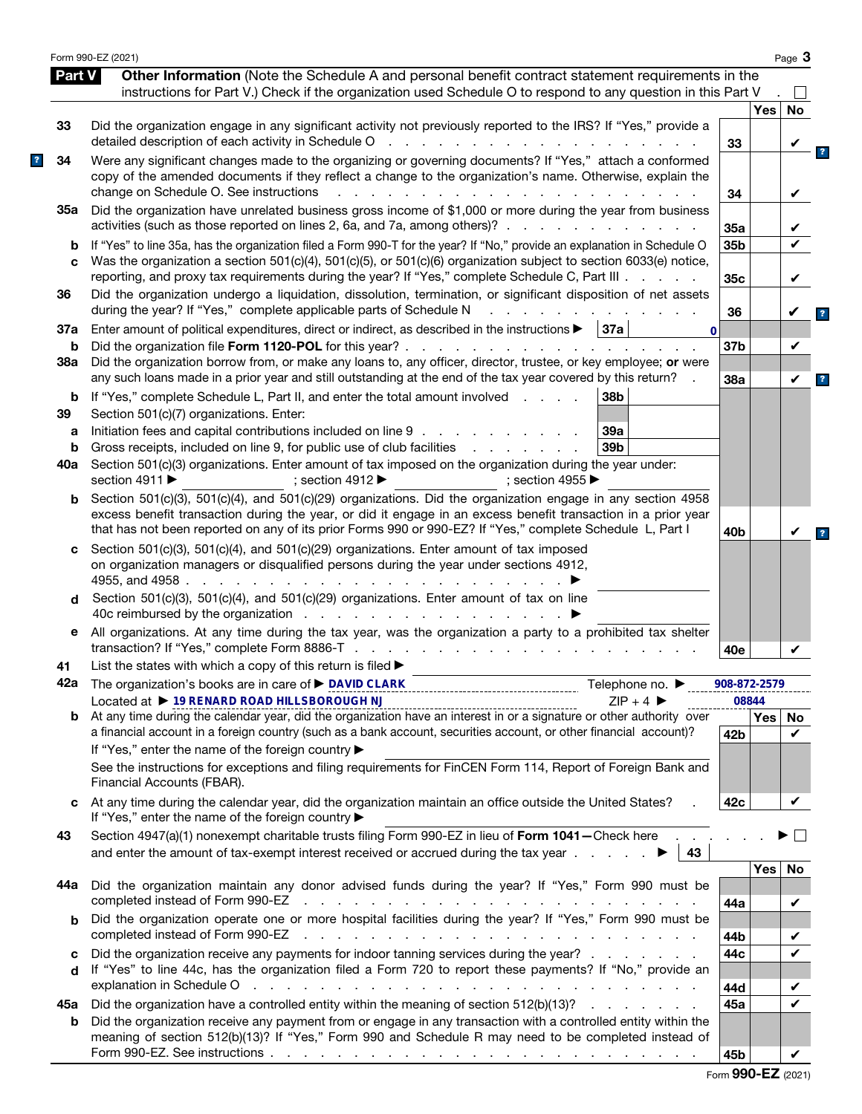|          | Form 990-EZ (2021)                                                                                                                                                                                                                                                                                                                                                            |                 |              | Page 3 |
|----------|-------------------------------------------------------------------------------------------------------------------------------------------------------------------------------------------------------------------------------------------------------------------------------------------------------------------------------------------------------------------------------|-----------------|--------------|--------|
| Part V   | Other Information (Note the Schedule A and personal benefit contract statement requirements in the<br>instructions for Part V.) Check if the organization used Schedule O to respond to any question in this Part V                                                                                                                                                           |                 |              |        |
|          |                                                                                                                                                                                                                                                                                                                                                                               |                 | <b>Yes</b>   | No     |
| 33       | Did the organization engage in any significant activity not previously reported to the IRS? If "Yes," provide a<br>detailed description of each activity in Schedule O<br>and a series and a series<br>$\sim 10^7$                                                                                                                                                            | 33              |              | V      |
| 34       | Were any significant changes made to the organizing or governing documents? If "Yes," attach a conformed<br>copy of the amended documents if they reflect a change to the organization's name. Otherwise, explain the<br>change on Schedule O. See instructions<br>$\mathbf{L}$                                                                                               | 34              |              | V      |
| 35а      | Did the organization have unrelated business gross income of \$1,000 or more during the year from business<br>activities (such as those reported on lines 2, 6a, and 7a, among others)?                                                                                                                                                                                       | 35a             |              |        |
| b<br>C   | If "Yes" to line 35a, has the organization filed a Form 990-T for the year? If "No," provide an explanation in Schedule O<br>Was the organization a section 501(c)(4), 501(c)(5), or 501(c)(6) organization subject to section 6033(e) notice,                                                                                                                                | 35b             |              | ✓      |
| 36       | reporting, and proxy tax requirements during the year? If "Yes," complete Schedule C, Part III<br>Did the organization undergo a liquidation, dissolution, termination, or significant disposition of net assets                                                                                                                                                              | 35c             |              | V      |
| 37a      | during the year? If "Yes," complete applicable parts of Schedule N<br>Enter amount of political expenditures, direct or indirect, as described in the instructions $\blacktriangleright$   37a  <br>$\mathbf{0}$                                                                                                                                                              | 36              |              |        |
| b<br>38a | Did the organization file Form 1120-POL for this year?.<br>and the contract of the contract of the con-<br>Did the organization borrow from, or make any loans to, any officer, director, trustee, or key employee; or were                                                                                                                                                   | 37 <sub>b</sub> |              | V      |
|          | any such loans made in a prior year and still outstanding at the end of the tax year covered by this return?                                                                                                                                                                                                                                                                  | 38a             |              | V      |
| b<br>39  | 38b<br>If "Yes," complete Schedule L, Part II, and enter the total amount involved<br>Section 501(c)(7) organizations. Enter:                                                                                                                                                                                                                                                 |                 |              |        |
| a        | Initiation fees and capital contributions included on line 9<br>39a                                                                                                                                                                                                                                                                                                           |                 |              |        |
| b        | Gross receipts, included on line 9, for public use of club facilities<br>39 <sub>b</sub><br>and a state of the state of                                                                                                                                                                                                                                                       |                 |              |        |
| 40a      | Section 501(c)(3) organizations. Enter amount of tax imposed on the organization during the year under:<br>section 4911 $\blacktriangleright$<br>; section 4912 $\blacktriangleright$<br>: section 4955 $\blacktriangleright$                                                                                                                                                 |                 |              |        |
| b        | Section 501(c)(3), 501(c)(4), and 501(c)(29) organizations. Did the organization engage in any section 4958<br>excess benefit transaction during the year, or did it engage in an excess benefit transaction in a prior year<br>that has not been reported on any of its prior Forms 990 or 990-EZ? If "Yes," complete Schedule L, Part I                                     | 40 <sub>b</sub> |              | V      |
| c<br>d   | Section 501(c)(3), 501(c)(4), and 501(c)(29) organizations. Enter amount of tax imposed<br>on organization managers or disqualified persons during the year under sections 4912,<br>4955, and 4958.<br>and a state of the state of the<br>Section 501(c)(3), 501(c)(4), and 501(c)(29) organizations. Enter amount of tax on line                                             |                 |              |        |
|          | 40c reimbursed by the organization                                                                                                                                                                                                                                                                                                                                            |                 |              |        |
| е        | All organizations. At any time during the tax year, was the organization a party to a prohibited tax shelter                                                                                                                                                                                                                                                                  | 40e             |              | V      |
| 41       | List the states with which a copy of this return is filed $\blacktriangleright$                                                                                                                                                                                                                                                                                               |                 |              |        |
|          | 42a The organization's books are in care of ▶ DAVID CLARK<br>Telephone no. $\blacktriangleright$                                                                                                                                                                                                                                                                              | 908-872-2579    |              |        |
| b        | Located at ▶ 19 RENARD ROAD HILLSBOROUGH NJ<br>$ZIP + 4$<br>Located at $\triangleright$ 19 RENARD ROAD HILLSBOROUGH NJ<br>At any time during the calendar year, did the organization have an interest in or a signature or other authority over                                                                                                                               |                 | 08844<br>Yes | No     |
|          | a financial account in a foreign country (such as a bank account, securities account, or other financial account)?<br>If "Yes," enter the name of the foreign country ▶                                                                                                                                                                                                       | 42 <sub>b</sub> |              | V      |
|          | See the instructions for exceptions and filing requirements for FinCEN Form 114, Report of Foreign Bank and<br>Financial Accounts (FBAR).                                                                                                                                                                                                                                     |                 |              |        |
| C        | At any time during the calendar year, did the organization maintain an office outside the United States?<br>If "Yes," enter the name of the foreign country ▶                                                                                                                                                                                                                 | 42c             |              | V      |
| 43       | Section 4947(a)(1) nonexempt charitable trusts filing Form 990-EZ in lieu of Form 1041-Check here .<br>and enter the amount of tax-exempt interest received or accrued during the tax year $\ldots$ .<br>43                                                                                                                                                                   |                 |              |        |
|          |                                                                                                                                                                                                                                                                                                                                                                               |                 | <b>Yes</b>   | No     |
| 44а      | Did the organization maintain any donor advised funds during the year? If "Yes," Form 990 must be<br>completed instead of Form 990-EZ<br>the contract of the contract of the contract of the contract of the contract of the contract of the contract of                                                                                                                      | 44a             |              | V      |
| b        | Did the organization operate one or more hospital facilities during the year? If "Yes," Form 990 must be<br>completed instead of Form 990-EZ<br>a construction of the construction of the construction of the construction of the construction of the construction of the construction of the construction of the construction of the construction of the construction of the | 44b             |              | V      |
| с        | Did the organization receive any payments for indoor tanning services during the year?                                                                                                                                                                                                                                                                                        | 44c             |              | V      |
| d        | If "Yes" to line 44c, has the organization filed a Form 720 to report these payments? If "No," provide an<br>explanation in Schedule O<br>والمتعاون والمتعاون والمتعاون والمتعاون والمتعاون والمتعاون والمتعاون والمتعاون والمتعاون والمتعاون                                                                                                                                 | 44d             |              |        |
| 45а      | Did the organization have a controlled entity within the meaning of section 512(b)(13)?                                                                                                                                                                                                                                                                                       | 45а             |              | ✓      |
| b        | Did the organization receive any payment from or engage in any transaction with a controlled entity within the<br>meaning of section 512(b)(13)? If "Yes," Form 990 and Schedule R may need to be completed instead of                                                                                                                                                        |                 |              |        |
|          |                                                                                                                                                                                                                                                                                                                                                                               | 45b             |              | V      |

|  |  |  | Form 990-EZ (2021) |
|--|--|--|--------------------|
|--|--|--|--------------------|